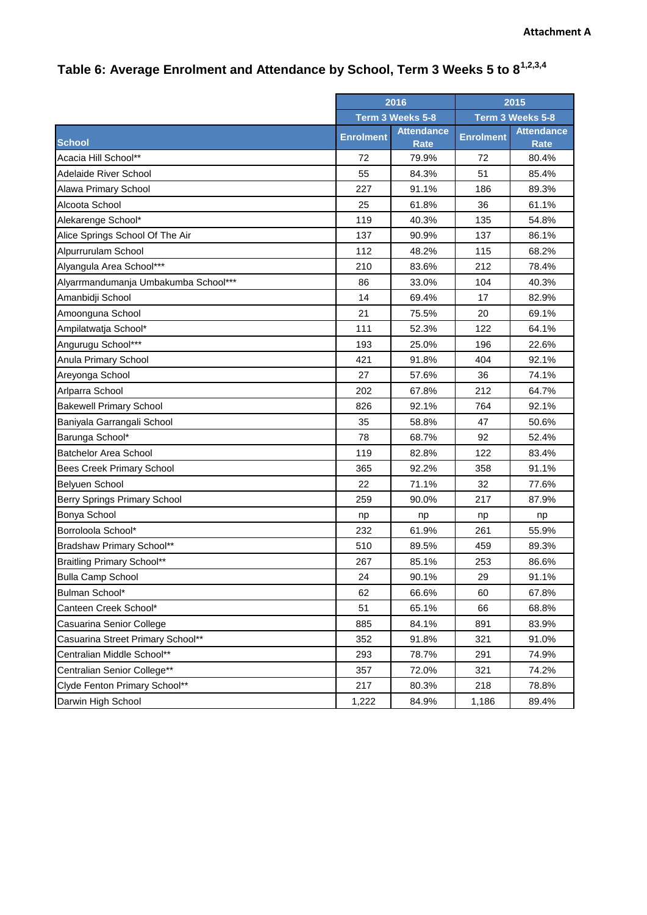## **Table 6: Average Enrolment and Attendance by School, Term 3 Weeks 5 to 81,2,3,4**

|                                      | 2016             |                                  | 2015             |                                  |
|--------------------------------------|------------------|----------------------------------|------------------|----------------------------------|
|                                      | Term 3 Weeks 5-8 |                                  | Term 3 Weeks 5-8 |                                  |
| <b>School</b>                        | <b>Enrolment</b> | <b>Attendance</b><br><b>Rate</b> | <b>Enrolment</b> | <b>Attendance</b><br><b>Rate</b> |
| Acacia Hill School**                 | 72               | 79.9%                            | 72               | 80.4%                            |
| <b>Adelaide River School</b>         | 55               | 84.3%                            | 51               | 85.4%                            |
| Alawa Primary School                 | 227              | 91.1%                            | 186              | 89.3%                            |
| Alcoota School                       | 25               | 61.8%                            | 36               | 61.1%                            |
| Alekarenge School*                   | 119              | 40.3%                            | 135              | 54.8%                            |
| Alice Springs School Of The Air      | 137              | 90.9%                            | 137              | 86.1%                            |
| Alpurrurulam School                  | 112              | 48.2%                            | 115              | 68.2%                            |
| Alyangula Area School***             | 210              | 83.6%                            | 212              | 78.4%                            |
| Alyarrmandumanja Umbakumba School*** | 86               | 33.0%                            | 104              | 40.3%                            |
| Amanbidji School                     | 14               | 69.4%                            | 17               | 82.9%                            |
| Amoonguna School                     | 21               | 75.5%                            | 20               | 69.1%                            |
| Ampilatwatja School*                 | 111              | 52.3%                            | 122              | 64.1%                            |
| Angurugu School***                   | 193              | 25.0%                            | 196              | 22.6%                            |
| Anula Primary School                 | 421              | 91.8%                            | 404              | 92.1%                            |
| Areyonga School                      | 27               | 57.6%                            | 36               | 74.1%                            |
| Arlparra School                      | 202              | 67.8%                            | 212              | 64.7%                            |
| <b>Bakewell Primary School</b>       | 826              | 92.1%                            | 764              | 92.1%                            |
| Baniyala Garrangali School           | 35               | 58.8%                            | 47               | 50.6%                            |
| Barunga School*                      | 78               | 68.7%                            | 92               | 52.4%                            |
| <b>Batchelor Area School</b>         | 119              | 82.8%                            | 122              | 83.4%                            |
| <b>Bees Creek Primary School</b>     | 365              | 92.2%                            | 358              | 91.1%                            |
| Belyuen School                       | 22               | 71.1%                            | 32               | 77.6%                            |
| <b>Berry Springs Primary School</b>  | 259              | 90.0%                            | 217              | 87.9%                            |
| Bonya School                         | np               | np                               | np               | np                               |
| Borroloola School*                   | 232              | 61.9%                            | 261              | 55.9%                            |
| Bradshaw Primary School**            | 510              | 89.5%                            | 459              | 89.3%                            |
| <b>Braitling Primary School**</b>    | 267              | 85.1%                            | 253              | 86.6%                            |
| <b>Bulla Camp School</b>             | 24               | 90.1%                            | 29               | 91.1%                            |
| Bulman School*                       | 62               | 66.6%                            | 60               | 67.8%                            |
| Canteen Creek School*                | 51               | 65.1%                            | 66               | 68.8%                            |
| Casuarina Senior College             | 885              | 84.1%                            | 891              | 83.9%                            |
| Casuarina Street Primary School**    | 352              | 91.8%                            | 321              | 91.0%                            |
| Centralian Middle School**           | 293              | 78.7%                            | 291              | 74.9%                            |
| Centralian Senior College**          | 357              | 72.0%                            | 321              | 74.2%                            |
| Clyde Fenton Primary School**        | 217              | 80.3%                            | 218              | 78.8%                            |
| Darwin High School                   | 1,222            | 84.9%                            | 1,186            | 89.4%                            |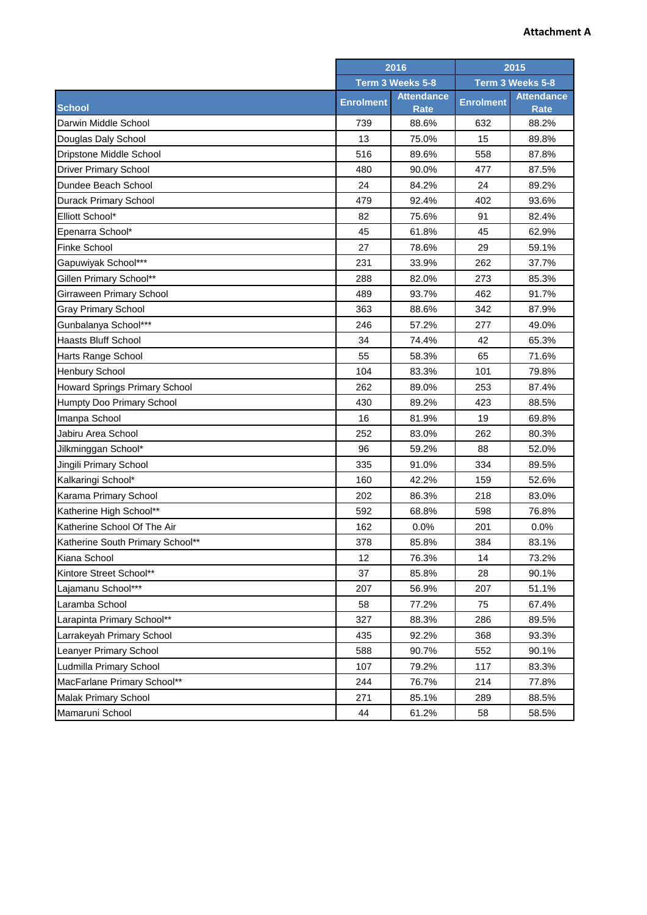## **Attachment A**

|                                  | 2016<br>Term 3 Weeks 5-8 |                           | 2015<br>Term 3 Weeks 5-8 |                                  |
|----------------------------------|--------------------------|---------------------------|--------------------------|----------------------------------|
|                                  |                          |                           |                          |                                  |
| <b>School</b>                    | <b>Enrolment</b>         | <b>Attendance</b><br>Rate | <b>Enrolment</b>         | <b>Attendance</b><br><b>Rate</b> |
| Darwin Middle School             | 739                      | 88.6%                     | 632                      | 88.2%                            |
| Douglas Daly School              | 13                       | 75.0%                     | 15                       | 89.8%                            |
| Dripstone Middle School          | 516                      | 89.6%                     | 558                      | 87.8%                            |
| <b>Driver Primary School</b>     | 480                      | 90.0%                     | 477                      | 87.5%                            |
| Dundee Beach School              | 24                       | 84.2%                     | 24                       | 89.2%                            |
| <b>Durack Primary School</b>     | 479                      | 92.4%                     | 402                      | 93.6%                            |
| Elliott School*                  | 82                       | 75.6%                     | 91                       | 82.4%                            |
| Epenarra School*                 | 45                       | 61.8%                     | 45                       | 62.9%                            |
| <b>Finke School</b>              | 27                       | 78.6%                     | 29                       | 59.1%                            |
| Gapuwiyak School***              | 231                      | 33.9%                     | 262                      | 37.7%                            |
| Gillen Primary School**          | 288                      | 82.0%                     | 273                      | 85.3%                            |
| Girraween Primary School         | 489                      | 93.7%                     | 462                      | 91.7%                            |
| <b>Gray Primary School</b>       | 363                      | 88.6%                     | 342                      | 87.9%                            |
| Gunbalanya School***             | 246                      | 57.2%                     | 277                      | 49.0%                            |
| <b>Haasts Bluff School</b>       | 34                       | 74.4%                     | 42                       | 65.3%                            |
| <b>Harts Range School</b>        | 55                       | 58.3%                     | 65                       | 71.6%                            |
| <b>Henbury School</b>            | 104                      | 83.3%                     | 101                      | 79.8%                            |
| Howard Springs Primary School    | 262                      | 89.0%                     | 253                      | 87.4%                            |
| Humpty Doo Primary School        | 430                      | 89.2%                     | 423                      | 88.5%                            |
| Imanpa School                    | 16                       | 81.9%                     | 19                       | 69.8%                            |
| Jabiru Area School               | 252                      | 83.0%                     | 262                      | 80.3%                            |
| Jilkminggan School*              | 96                       | 59.2%                     | 88                       | 52.0%                            |
| Jingili Primary School           | 335                      | 91.0%                     | 334                      | 89.5%                            |
| Kalkaringi School*               | 160                      | 42.2%                     | 159                      | 52.6%                            |
| Karama Primary School            | 202                      | 86.3%                     | 218                      | 83.0%                            |
| Katherine High School**          | 592                      | 68.8%                     | 598                      | 76.8%                            |
| Katherine School Of The Air      | 162                      | 0.0%                      | 201                      | 0.0%                             |
| Katherine South Primary School** | 378                      | 85.8%                     | 384                      | 83.1%                            |
| Kiana School                     | 12                       | 76.3%                     | 14                       | 73.2%                            |
| Kintore Street School**          | 37                       | 85.8%                     | 28                       | 90.1%                            |
| Lajamanu School***               | 207                      | 56.9%                     | 207                      | 51.1%                            |
| Laramba School                   | 58                       | 77.2%                     | 75                       | 67.4%                            |
| Larapinta Primary School**       | 327                      | 88.3%                     | 286                      | 89.5%                            |
| Larrakeyah Primary School        | 435                      | 92.2%                     | 368                      | 93.3%                            |
| Leanyer Primary School           | 588                      | 90.7%                     | 552                      | 90.1%                            |
| Ludmilla Primary School          | 107                      | 79.2%                     | 117                      | 83.3%                            |
| MacFarlane Primary School**      | 244                      | 76.7%                     | 214                      | 77.8%                            |
| <b>Malak Primary School</b>      | 271                      | 85.1%                     | 289                      | 88.5%                            |
| Mamaruni School                  | 44                       | 61.2%                     | 58                       | 58.5%                            |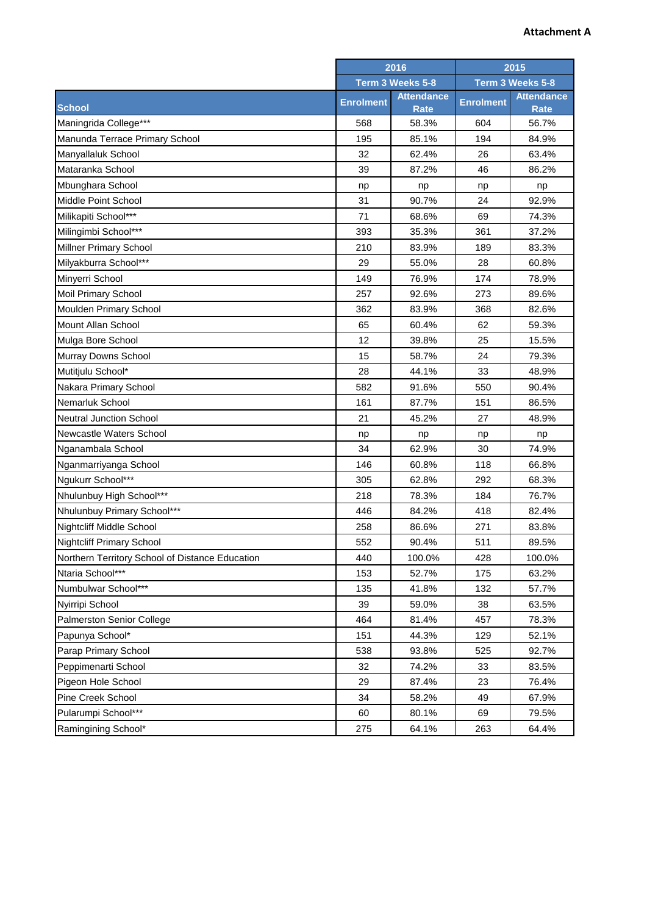## **Attachment A**

| Term 3 Weeks 5-8<br>Term 3 Weeks 5-8<br><b>Attendance</b><br><b>Attendance</b><br><b>Enrolment</b><br><b>Enrolment</b><br><b>School</b><br>Rate<br><b>Rate</b><br>Maningrida College***<br>568<br>58.3%<br>604<br>56.7%<br>Manunda Terrace Primary School<br>195<br>85.1%<br>194<br>84.9%<br>Manyallaluk School<br>32<br>62.4%<br>26<br>63.4%<br>Mataranka School<br>39<br>46<br>86.2%<br>87.2%<br>Mbunghara School<br>np<br>np<br>np<br>np<br>Middle Point School<br>31<br>90.7%<br>24<br>92.9%<br>Milikapiti School***<br>71<br>68.6%<br>69<br>74.3%<br>Milingimbi School***<br>37.2%<br>393<br>35.3%<br>361<br>83.3%<br><b>Millner Primary School</b><br>210<br>83.9%<br>189<br>Milyakburra School***<br>60.8%<br>29<br>55.0%<br>28<br>Minyerri School<br>149<br>76.9%<br>174<br>78.9%<br><b>Moil Primary School</b><br>92.6%<br>89.6%<br>257<br>273<br>Moulden Primary School<br>362<br>83.9%<br>368<br>82.6%<br><b>Mount Allan School</b><br>65<br>60.4%<br>62<br>59.3%<br>12<br>25<br>15.5%<br>Mulga Bore School<br>39.8%<br>Murray Downs School<br>24<br>79.3%<br>15<br>58.7%<br>Mutitjulu School*<br>28<br>33<br>48.9%<br>44.1%<br>Nakara Primary School<br>582<br>91.6%<br>90.4%<br>550<br>Nemarluk School<br>161<br>87.7%<br>151<br>86.5%<br><b>Neutral Junction School</b><br>21<br>45.2%<br>27<br>48.9%<br>Newcastle Waters School<br>np<br>np<br>np<br>np<br>Nganambala School<br>30<br>74.9%<br>34<br>62.9%<br>66.8%<br>Nganmarriyanga School<br>146<br>60.8%<br>118<br>Ngukurr School***<br>292<br>68.3%<br>305<br>62.8%<br>Nhulunbuy High School***<br>76.7%<br>218<br>78.3%<br>184<br>Nhulunbuy Primary School***<br>446<br>84.2%<br>418<br>82.4%<br><b>Nightcliff Middle School</b><br>258<br>86.6%<br>271<br>83.8%<br>552<br><b>Nightcliff Primary School</b><br>90.4%<br>511<br>89.5%<br>Northern Territory School of Distance Education<br>440<br>100.0%<br>428<br>100.0%<br>Ntaria School***<br>153<br>52.7%<br>175<br>63.2%<br>Numbulwar School***<br>135<br>41.8%<br>132<br>57.7%<br>Nyirripi School<br>39<br>59.0%<br>38<br>63.5%<br>78.3%<br><b>Palmerston Senior College</b><br>464<br>81.4%<br>457<br>Papunya School*<br>151<br>44.3%<br>129<br>52.1%<br>Parap Primary School<br>538<br>93.8%<br>525<br>92.7%<br>Peppimenarti School<br>32<br>74.2%<br>33<br>83.5%<br>Pigeon Hole School<br>76.4%<br>29<br>87.4%<br>23<br>Pine Creek School<br>49<br>34<br>58.2%<br>67.9%<br>Pularumpi School***<br>80.1%<br>69<br>79.5%<br>60 |                     | 2016 |       | 2015 |       |
|------------------------------------------------------------------------------------------------------------------------------------------------------------------------------------------------------------------------------------------------------------------------------------------------------------------------------------------------------------------------------------------------------------------------------------------------------------------------------------------------------------------------------------------------------------------------------------------------------------------------------------------------------------------------------------------------------------------------------------------------------------------------------------------------------------------------------------------------------------------------------------------------------------------------------------------------------------------------------------------------------------------------------------------------------------------------------------------------------------------------------------------------------------------------------------------------------------------------------------------------------------------------------------------------------------------------------------------------------------------------------------------------------------------------------------------------------------------------------------------------------------------------------------------------------------------------------------------------------------------------------------------------------------------------------------------------------------------------------------------------------------------------------------------------------------------------------------------------------------------------------------------------------------------------------------------------------------------------------------------------------------------------------------------------------------------------------------------------------------------------------------------------------------------------------------------------------------------------------------------------------------------------------------------------------------------------------------------------------------------------------------------------------------------------------------------------------------|---------------------|------|-------|------|-------|
|                                                                                                                                                                                                                                                                                                                                                                                                                                                                                                                                                                                                                                                                                                                                                                                                                                                                                                                                                                                                                                                                                                                                                                                                                                                                                                                                                                                                                                                                                                                                                                                                                                                                                                                                                                                                                                                                                                                                                                                                                                                                                                                                                                                                                                                                                                                                                                                                                                                            |                     |      |       |      |       |
|                                                                                                                                                                                                                                                                                                                                                                                                                                                                                                                                                                                                                                                                                                                                                                                                                                                                                                                                                                                                                                                                                                                                                                                                                                                                                                                                                                                                                                                                                                                                                                                                                                                                                                                                                                                                                                                                                                                                                                                                                                                                                                                                                                                                                                                                                                                                                                                                                                                            |                     |      |       |      |       |
|                                                                                                                                                                                                                                                                                                                                                                                                                                                                                                                                                                                                                                                                                                                                                                                                                                                                                                                                                                                                                                                                                                                                                                                                                                                                                                                                                                                                                                                                                                                                                                                                                                                                                                                                                                                                                                                                                                                                                                                                                                                                                                                                                                                                                                                                                                                                                                                                                                                            |                     |      |       |      |       |
|                                                                                                                                                                                                                                                                                                                                                                                                                                                                                                                                                                                                                                                                                                                                                                                                                                                                                                                                                                                                                                                                                                                                                                                                                                                                                                                                                                                                                                                                                                                                                                                                                                                                                                                                                                                                                                                                                                                                                                                                                                                                                                                                                                                                                                                                                                                                                                                                                                                            |                     |      |       |      |       |
|                                                                                                                                                                                                                                                                                                                                                                                                                                                                                                                                                                                                                                                                                                                                                                                                                                                                                                                                                                                                                                                                                                                                                                                                                                                                                                                                                                                                                                                                                                                                                                                                                                                                                                                                                                                                                                                                                                                                                                                                                                                                                                                                                                                                                                                                                                                                                                                                                                                            |                     |      |       |      |       |
|                                                                                                                                                                                                                                                                                                                                                                                                                                                                                                                                                                                                                                                                                                                                                                                                                                                                                                                                                                                                                                                                                                                                                                                                                                                                                                                                                                                                                                                                                                                                                                                                                                                                                                                                                                                                                                                                                                                                                                                                                                                                                                                                                                                                                                                                                                                                                                                                                                                            |                     |      |       |      |       |
|                                                                                                                                                                                                                                                                                                                                                                                                                                                                                                                                                                                                                                                                                                                                                                                                                                                                                                                                                                                                                                                                                                                                                                                                                                                                                                                                                                                                                                                                                                                                                                                                                                                                                                                                                                                                                                                                                                                                                                                                                                                                                                                                                                                                                                                                                                                                                                                                                                                            |                     |      |       |      |       |
|                                                                                                                                                                                                                                                                                                                                                                                                                                                                                                                                                                                                                                                                                                                                                                                                                                                                                                                                                                                                                                                                                                                                                                                                                                                                                                                                                                                                                                                                                                                                                                                                                                                                                                                                                                                                                                                                                                                                                                                                                                                                                                                                                                                                                                                                                                                                                                                                                                                            |                     |      |       |      |       |
|                                                                                                                                                                                                                                                                                                                                                                                                                                                                                                                                                                                                                                                                                                                                                                                                                                                                                                                                                                                                                                                                                                                                                                                                                                                                                                                                                                                                                                                                                                                                                                                                                                                                                                                                                                                                                                                                                                                                                                                                                                                                                                                                                                                                                                                                                                                                                                                                                                                            |                     |      |       |      |       |
|                                                                                                                                                                                                                                                                                                                                                                                                                                                                                                                                                                                                                                                                                                                                                                                                                                                                                                                                                                                                                                                                                                                                                                                                                                                                                                                                                                                                                                                                                                                                                                                                                                                                                                                                                                                                                                                                                                                                                                                                                                                                                                                                                                                                                                                                                                                                                                                                                                                            |                     |      |       |      |       |
|                                                                                                                                                                                                                                                                                                                                                                                                                                                                                                                                                                                                                                                                                                                                                                                                                                                                                                                                                                                                                                                                                                                                                                                                                                                                                                                                                                                                                                                                                                                                                                                                                                                                                                                                                                                                                                                                                                                                                                                                                                                                                                                                                                                                                                                                                                                                                                                                                                                            |                     |      |       |      |       |
|                                                                                                                                                                                                                                                                                                                                                                                                                                                                                                                                                                                                                                                                                                                                                                                                                                                                                                                                                                                                                                                                                                                                                                                                                                                                                                                                                                                                                                                                                                                                                                                                                                                                                                                                                                                                                                                                                                                                                                                                                                                                                                                                                                                                                                                                                                                                                                                                                                                            |                     |      |       |      |       |
|                                                                                                                                                                                                                                                                                                                                                                                                                                                                                                                                                                                                                                                                                                                                                                                                                                                                                                                                                                                                                                                                                                                                                                                                                                                                                                                                                                                                                                                                                                                                                                                                                                                                                                                                                                                                                                                                                                                                                                                                                                                                                                                                                                                                                                                                                                                                                                                                                                                            |                     |      |       |      |       |
|                                                                                                                                                                                                                                                                                                                                                                                                                                                                                                                                                                                                                                                                                                                                                                                                                                                                                                                                                                                                                                                                                                                                                                                                                                                                                                                                                                                                                                                                                                                                                                                                                                                                                                                                                                                                                                                                                                                                                                                                                                                                                                                                                                                                                                                                                                                                                                                                                                                            |                     |      |       |      |       |
|                                                                                                                                                                                                                                                                                                                                                                                                                                                                                                                                                                                                                                                                                                                                                                                                                                                                                                                                                                                                                                                                                                                                                                                                                                                                                                                                                                                                                                                                                                                                                                                                                                                                                                                                                                                                                                                                                                                                                                                                                                                                                                                                                                                                                                                                                                                                                                                                                                                            |                     |      |       |      |       |
|                                                                                                                                                                                                                                                                                                                                                                                                                                                                                                                                                                                                                                                                                                                                                                                                                                                                                                                                                                                                                                                                                                                                                                                                                                                                                                                                                                                                                                                                                                                                                                                                                                                                                                                                                                                                                                                                                                                                                                                                                                                                                                                                                                                                                                                                                                                                                                                                                                                            |                     |      |       |      |       |
|                                                                                                                                                                                                                                                                                                                                                                                                                                                                                                                                                                                                                                                                                                                                                                                                                                                                                                                                                                                                                                                                                                                                                                                                                                                                                                                                                                                                                                                                                                                                                                                                                                                                                                                                                                                                                                                                                                                                                                                                                                                                                                                                                                                                                                                                                                                                                                                                                                                            |                     |      |       |      |       |
|                                                                                                                                                                                                                                                                                                                                                                                                                                                                                                                                                                                                                                                                                                                                                                                                                                                                                                                                                                                                                                                                                                                                                                                                                                                                                                                                                                                                                                                                                                                                                                                                                                                                                                                                                                                                                                                                                                                                                                                                                                                                                                                                                                                                                                                                                                                                                                                                                                                            |                     |      |       |      |       |
|                                                                                                                                                                                                                                                                                                                                                                                                                                                                                                                                                                                                                                                                                                                                                                                                                                                                                                                                                                                                                                                                                                                                                                                                                                                                                                                                                                                                                                                                                                                                                                                                                                                                                                                                                                                                                                                                                                                                                                                                                                                                                                                                                                                                                                                                                                                                                                                                                                                            |                     |      |       |      |       |
|                                                                                                                                                                                                                                                                                                                                                                                                                                                                                                                                                                                                                                                                                                                                                                                                                                                                                                                                                                                                                                                                                                                                                                                                                                                                                                                                                                                                                                                                                                                                                                                                                                                                                                                                                                                                                                                                                                                                                                                                                                                                                                                                                                                                                                                                                                                                                                                                                                                            |                     |      |       |      |       |
|                                                                                                                                                                                                                                                                                                                                                                                                                                                                                                                                                                                                                                                                                                                                                                                                                                                                                                                                                                                                                                                                                                                                                                                                                                                                                                                                                                                                                                                                                                                                                                                                                                                                                                                                                                                                                                                                                                                                                                                                                                                                                                                                                                                                                                                                                                                                                                                                                                                            |                     |      |       |      |       |
|                                                                                                                                                                                                                                                                                                                                                                                                                                                                                                                                                                                                                                                                                                                                                                                                                                                                                                                                                                                                                                                                                                                                                                                                                                                                                                                                                                                                                                                                                                                                                                                                                                                                                                                                                                                                                                                                                                                                                                                                                                                                                                                                                                                                                                                                                                                                                                                                                                                            |                     |      |       |      |       |
|                                                                                                                                                                                                                                                                                                                                                                                                                                                                                                                                                                                                                                                                                                                                                                                                                                                                                                                                                                                                                                                                                                                                                                                                                                                                                                                                                                                                                                                                                                                                                                                                                                                                                                                                                                                                                                                                                                                                                                                                                                                                                                                                                                                                                                                                                                                                                                                                                                                            |                     |      |       |      |       |
|                                                                                                                                                                                                                                                                                                                                                                                                                                                                                                                                                                                                                                                                                                                                                                                                                                                                                                                                                                                                                                                                                                                                                                                                                                                                                                                                                                                                                                                                                                                                                                                                                                                                                                                                                                                                                                                                                                                                                                                                                                                                                                                                                                                                                                                                                                                                                                                                                                                            |                     |      |       |      |       |
|                                                                                                                                                                                                                                                                                                                                                                                                                                                                                                                                                                                                                                                                                                                                                                                                                                                                                                                                                                                                                                                                                                                                                                                                                                                                                                                                                                                                                                                                                                                                                                                                                                                                                                                                                                                                                                                                                                                                                                                                                                                                                                                                                                                                                                                                                                                                                                                                                                                            |                     |      |       |      |       |
|                                                                                                                                                                                                                                                                                                                                                                                                                                                                                                                                                                                                                                                                                                                                                                                                                                                                                                                                                                                                                                                                                                                                                                                                                                                                                                                                                                                                                                                                                                                                                                                                                                                                                                                                                                                                                                                                                                                                                                                                                                                                                                                                                                                                                                                                                                                                                                                                                                                            |                     |      |       |      |       |
|                                                                                                                                                                                                                                                                                                                                                                                                                                                                                                                                                                                                                                                                                                                                                                                                                                                                                                                                                                                                                                                                                                                                                                                                                                                                                                                                                                                                                                                                                                                                                                                                                                                                                                                                                                                                                                                                                                                                                                                                                                                                                                                                                                                                                                                                                                                                                                                                                                                            |                     |      |       |      |       |
|                                                                                                                                                                                                                                                                                                                                                                                                                                                                                                                                                                                                                                                                                                                                                                                                                                                                                                                                                                                                                                                                                                                                                                                                                                                                                                                                                                                                                                                                                                                                                                                                                                                                                                                                                                                                                                                                                                                                                                                                                                                                                                                                                                                                                                                                                                                                                                                                                                                            |                     |      |       |      |       |
|                                                                                                                                                                                                                                                                                                                                                                                                                                                                                                                                                                                                                                                                                                                                                                                                                                                                                                                                                                                                                                                                                                                                                                                                                                                                                                                                                                                                                                                                                                                                                                                                                                                                                                                                                                                                                                                                                                                                                                                                                                                                                                                                                                                                                                                                                                                                                                                                                                                            |                     |      |       |      |       |
|                                                                                                                                                                                                                                                                                                                                                                                                                                                                                                                                                                                                                                                                                                                                                                                                                                                                                                                                                                                                                                                                                                                                                                                                                                                                                                                                                                                                                                                                                                                                                                                                                                                                                                                                                                                                                                                                                                                                                                                                                                                                                                                                                                                                                                                                                                                                                                                                                                                            |                     |      |       |      |       |
|                                                                                                                                                                                                                                                                                                                                                                                                                                                                                                                                                                                                                                                                                                                                                                                                                                                                                                                                                                                                                                                                                                                                                                                                                                                                                                                                                                                                                                                                                                                                                                                                                                                                                                                                                                                                                                                                                                                                                                                                                                                                                                                                                                                                                                                                                                                                                                                                                                                            |                     |      |       |      |       |
|                                                                                                                                                                                                                                                                                                                                                                                                                                                                                                                                                                                                                                                                                                                                                                                                                                                                                                                                                                                                                                                                                                                                                                                                                                                                                                                                                                                                                                                                                                                                                                                                                                                                                                                                                                                                                                                                                                                                                                                                                                                                                                                                                                                                                                                                                                                                                                                                                                                            |                     |      |       |      |       |
|                                                                                                                                                                                                                                                                                                                                                                                                                                                                                                                                                                                                                                                                                                                                                                                                                                                                                                                                                                                                                                                                                                                                                                                                                                                                                                                                                                                                                                                                                                                                                                                                                                                                                                                                                                                                                                                                                                                                                                                                                                                                                                                                                                                                                                                                                                                                                                                                                                                            |                     |      |       |      |       |
|                                                                                                                                                                                                                                                                                                                                                                                                                                                                                                                                                                                                                                                                                                                                                                                                                                                                                                                                                                                                                                                                                                                                                                                                                                                                                                                                                                                                                                                                                                                                                                                                                                                                                                                                                                                                                                                                                                                                                                                                                                                                                                                                                                                                                                                                                                                                                                                                                                                            |                     |      |       |      |       |
|                                                                                                                                                                                                                                                                                                                                                                                                                                                                                                                                                                                                                                                                                                                                                                                                                                                                                                                                                                                                                                                                                                                                                                                                                                                                                                                                                                                                                                                                                                                                                                                                                                                                                                                                                                                                                                                                                                                                                                                                                                                                                                                                                                                                                                                                                                                                                                                                                                                            |                     |      |       |      |       |
|                                                                                                                                                                                                                                                                                                                                                                                                                                                                                                                                                                                                                                                                                                                                                                                                                                                                                                                                                                                                                                                                                                                                                                                                                                                                                                                                                                                                                                                                                                                                                                                                                                                                                                                                                                                                                                                                                                                                                                                                                                                                                                                                                                                                                                                                                                                                                                                                                                                            |                     |      |       |      |       |
|                                                                                                                                                                                                                                                                                                                                                                                                                                                                                                                                                                                                                                                                                                                                                                                                                                                                                                                                                                                                                                                                                                                                                                                                                                                                                                                                                                                                                                                                                                                                                                                                                                                                                                                                                                                                                                                                                                                                                                                                                                                                                                                                                                                                                                                                                                                                                                                                                                                            |                     |      |       |      |       |
|                                                                                                                                                                                                                                                                                                                                                                                                                                                                                                                                                                                                                                                                                                                                                                                                                                                                                                                                                                                                                                                                                                                                                                                                                                                                                                                                                                                                                                                                                                                                                                                                                                                                                                                                                                                                                                                                                                                                                                                                                                                                                                                                                                                                                                                                                                                                                                                                                                                            |                     |      |       |      |       |
|                                                                                                                                                                                                                                                                                                                                                                                                                                                                                                                                                                                                                                                                                                                                                                                                                                                                                                                                                                                                                                                                                                                                                                                                                                                                                                                                                                                                                                                                                                                                                                                                                                                                                                                                                                                                                                                                                                                                                                                                                                                                                                                                                                                                                                                                                                                                                                                                                                                            |                     |      |       |      |       |
|                                                                                                                                                                                                                                                                                                                                                                                                                                                                                                                                                                                                                                                                                                                                                                                                                                                                                                                                                                                                                                                                                                                                                                                                                                                                                                                                                                                                                                                                                                                                                                                                                                                                                                                                                                                                                                                                                                                                                                                                                                                                                                                                                                                                                                                                                                                                                                                                                                                            |                     |      |       |      |       |
|                                                                                                                                                                                                                                                                                                                                                                                                                                                                                                                                                                                                                                                                                                                                                                                                                                                                                                                                                                                                                                                                                                                                                                                                                                                                                                                                                                                                                                                                                                                                                                                                                                                                                                                                                                                                                                                                                                                                                                                                                                                                                                                                                                                                                                                                                                                                                                                                                                                            |                     |      |       |      |       |
|                                                                                                                                                                                                                                                                                                                                                                                                                                                                                                                                                                                                                                                                                                                                                                                                                                                                                                                                                                                                                                                                                                                                                                                                                                                                                                                                                                                                                                                                                                                                                                                                                                                                                                                                                                                                                                                                                                                                                                                                                                                                                                                                                                                                                                                                                                                                                                                                                                                            |                     |      |       |      |       |
|                                                                                                                                                                                                                                                                                                                                                                                                                                                                                                                                                                                                                                                                                                                                                                                                                                                                                                                                                                                                                                                                                                                                                                                                                                                                                                                                                                                                                                                                                                                                                                                                                                                                                                                                                                                                                                                                                                                                                                                                                                                                                                                                                                                                                                                                                                                                                                                                                                                            | Ramingining School* | 275  | 64.1% | 263  | 64.4% |